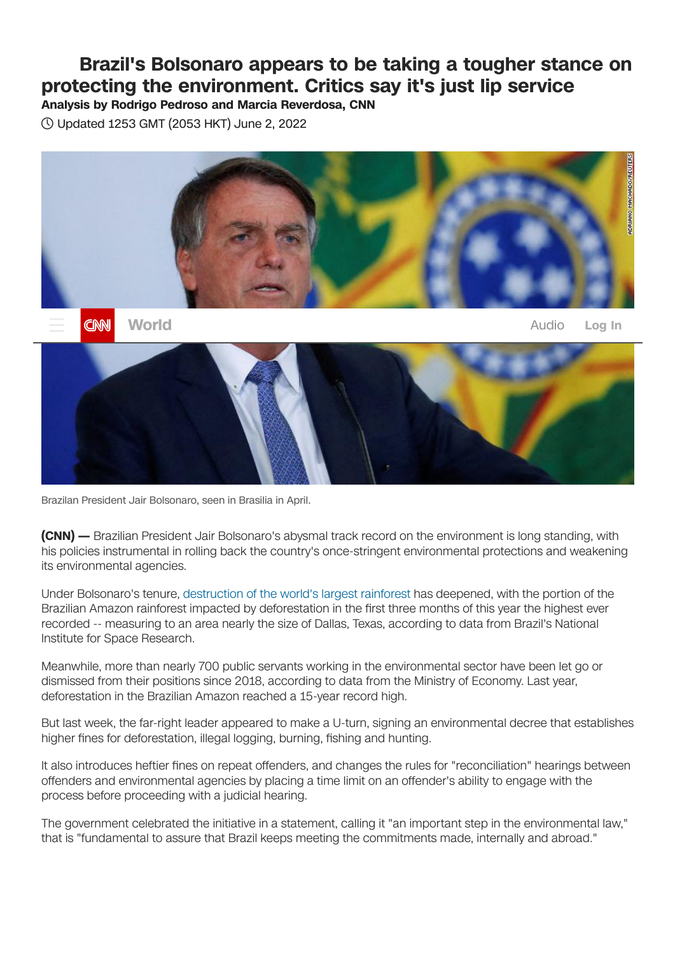## **Brazil's Bolsonaro appears to be taking a tougher stance on protecting the environment. Critics say it's just lip service**

**Analysis by Rodrigo Pedroso and Marcia Reverdosa, CNN**

Updated 1253 GMT (2053 HKT) June 2, 2022



Brazilan President Jair Bolsonaro, seen in Brasilia in April.

**(CNN) —** Brazilian President Jair Bolsonaro's abysmal track record on the environment is long standing, with his policies instrumental in rolling back the country's once-stringent environmental protections and weakening its environmental agencies.

Under Bolsonaro's tenure, [destruction](https://www.cnn.com/2022/04/08/americas/brazil-amazon-deforestation-latam-intl/index.html) of the world's largest rainforest has deepened, with the portion of the Brazilian Amazon rainforest impacted by deforestation in the first three months of this year the highest ever recorded -- measuring to an area nearly the size of Dallas, Texas, according to data from Brazil's National Institute for Space Research.

Meanwhile, more than nearly 700 public servants working in the environmental sector have been let go or dismissed from their positions since 2018, according to data from the Ministry of Economy. Last year, deforestation in the Brazilian Amazon reached a 15-year record high.

But last week, the far-right leader appeared to make a U-turn, signing an environmental decree that establishes higher fines for deforestation, illegal logging, burning, fishing and hunting.

It also introduces heftier fines on repeat offenders, and changes the rules for "reconciliation" hearings between offenders and environmental agencies by placing a time limit on an offender's ability to engage with the process before proceeding with a judicial hearing.

The government celebrated the initiative in a statement, calling it "an important step in the environmental law," that is "fundamental to assure that Brazil keeps meeting the commitments made, internally and abroad."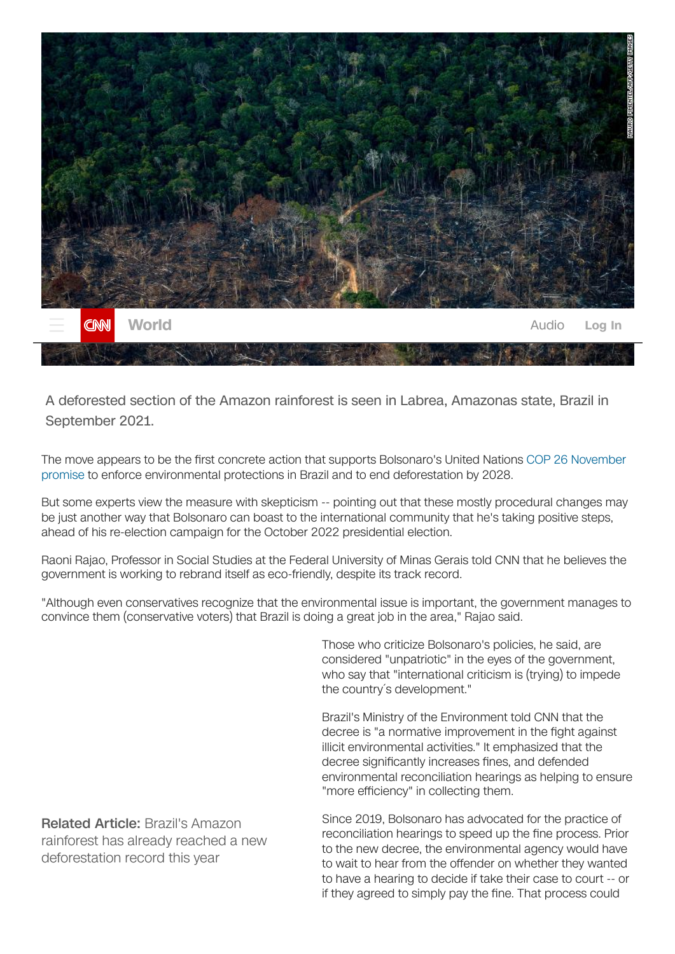

A deforested section of the Amazon rainforest is seen in Labrea, Amazonas state, Brazil in September 2021.

The move appears to be the first concrete action that supports Bolsonaro's United Nations COP 26 November promise to enforce [environmental](https://www.cnn.com/2021/11/01/world/cop26-climate-deforestation-deal-intl/index.html) protections in Brazil and to end deforestation by 2028.

But some experts view the measure with skepticism -- pointing out that these mostly procedural changes may be just another way that Bolsonaro can boast to the international community that he's taking positive steps, ahead of his re-election campaign for the October 2022 presidential election.

Raoni Rajao, Professor in Social Studies at the Federal University of Minas Gerais told CNN that he believes the government is working to rebrand itself as eco-friendly, despite its track record.

"Although even conservatives recognize that the environmental issue is important, the government manages to convince them (conservative voters) that Brazil is doing a great job in the area," Rajao said.

> Those who criticize Bolsonaro's policies, he said, are considered "unpatriotic" in the eyes of the government, who say that "international criticism is (trying) to impede the country´s development."

Brazil's Ministry of the Environment told CNN that the decree is "a normative improvement in the fight against illicit environmental activities." It emphasized that the decree significantly increases fines, and defended environmental reconciliation hearings as helping to ensure "more efficiency" in collecting them.

Since 2019, Bolsonaro has advocated for the practice of reconciliation hearings to speed up the fine process. Prior to the new decree, the environmental agency would have to wait to hear from the offender on whether they wanted to have a hearing to decide if take their case to court -- or if they agreed to simply pay the fine. That process could

Related Article: Brazil's Amazon rainforest has already reached a new [deforestation](https://edition.cnn.com/2022/04/08/americas/brazil-amazon-deforestation-latam-intl/index.html) record this year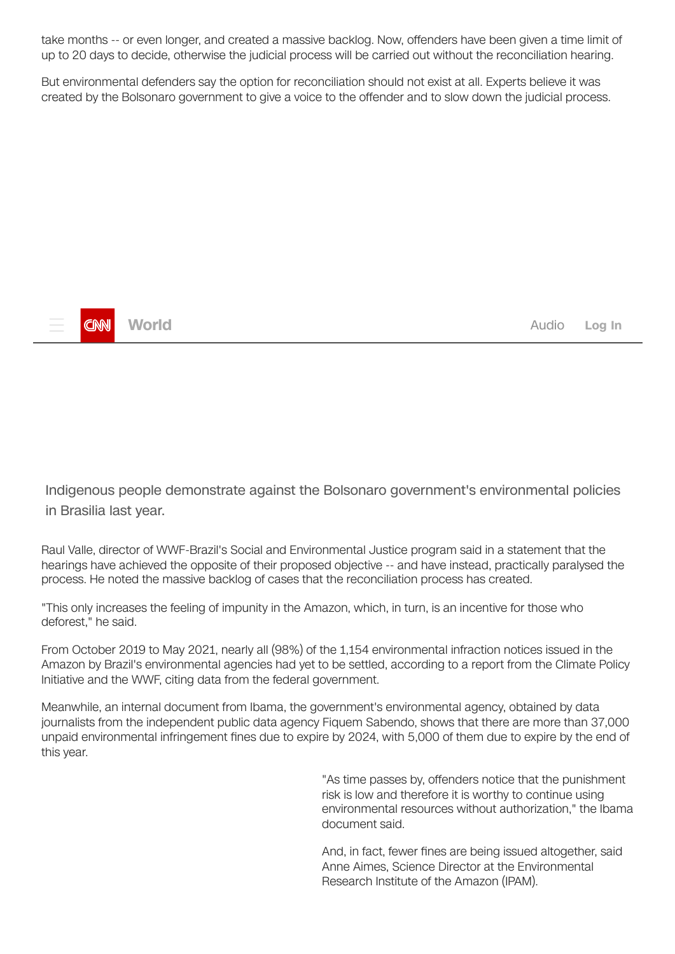take months -- or even longer, and created a massive backlog. Now, offenders have been given a time limit of up to 20 days to decide, otherwise the judicial process will be carried out without the reconciliation hearing.

But environmental defenders say the option for reconciliation should not exist at all. Experts believe it was created by the Bolsonaro government to give a voice to the offender and to slow down the judicial process.



**[World](https://edition.cnn.com/world) Log In** 

Indigenous people demonstrate against the Bolsonaro government's environmental policies in Brasilia last year.

Raul Valle, director of WWF-Brazil's Social and Environmental Justice program said in a statement that the hearings have achieved the opposite of their proposed objective -- and have instead, practically paralysed the process. He noted the massive backlog of cases that the reconciliation process has created.

"This only increases the feeling of impunity in the Amazon, which, in turn, is an incentive for those who deforest," he said.

From October 2019 to May 2021, nearly all (98%) of the 1,154 environmental infraction notices issued in the Amazon by Brazil's environmental agencies had yet to be settled, according to a report from the Climate Policy Initiative and the WWF, citing data from the federal government.

Meanwhile, an internal document from Ibama, the government's environmental agency, obtained by data journalists from the independent public data agency Fiquem Sabendo, shows that there are more than 37,000 unpaid environmental infringement fines due to expire by 2024, with 5,000 of them due to expire by the end of this year.

> "As time passes by, offenders notice that the punishment risk is low and therefore it is worthy to continue using environmental resources without authorization," the Ibama document said.

And, in fact, fewer fines are being issued altogether, said Anne Aimes, Science Director at the Environmental Research Institute of the Amazon (IPAM).